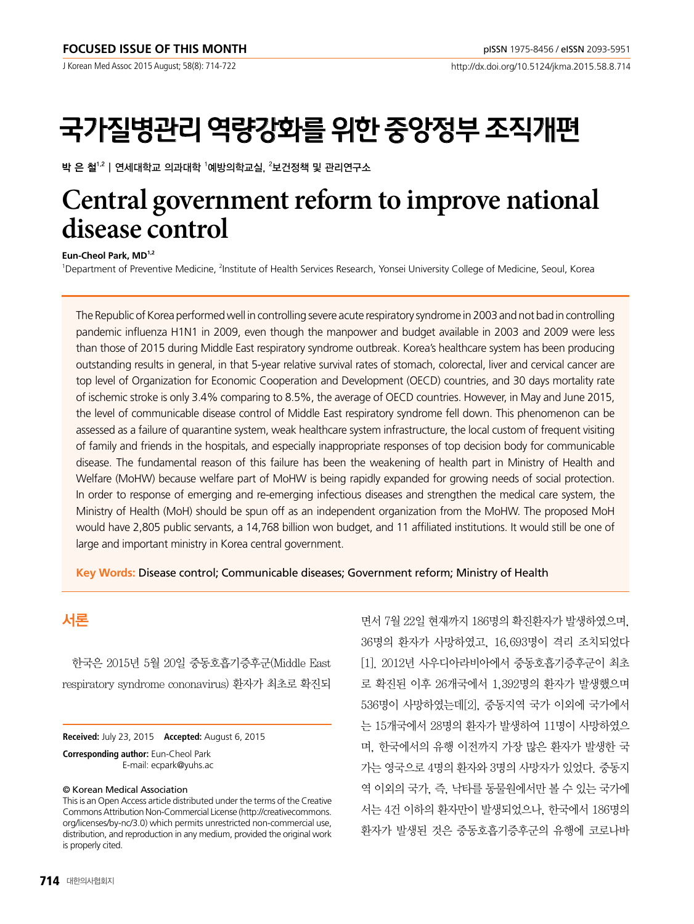# 국가질병관리 역량강화를 위한 중앙정부 조직개편

박 은 철 $^{1,2}$ | 연세대학교 의과대학  $^{\rm !}$ 예방의학교실,  $^{\rm 2}$ 보건정책 및 관리연구소

## **Central government reform to improve national disease control**

#### Eun-Cheol Park, MD<sup>1,2</sup>

<sup>1</sup>Department of Preventive Medicine, <sup>2</sup>Institute of Health Services Research, Yonsei University College of Medicine, Seoul, Korea

The Republic of Korea performed well in controlling severe acute respiratory syndrome in 2003 and not bad in controlling pandemic influenza H1N1 in 2009, even though the manpower and budget available in 2003 and 2009 were less than those of 2015 during Middle East respiratory syndrome outbreak. Korea's healthcare system has been producing outstanding results in general, in that 5-year relative survival rates of stomach, colorectal, liver and cervical cancer are top level of Organization for Economic Cooperation and Development (OECD) countries, and 30 days mortality rate of ischemic stroke is only 3.4% comparing to 8.5%, the average of OECD countries. However, in May and June 2015, the level of communicable disease control of Middle East respiratory syndrome fell down. This phenomenon can be assessed as a failure of quarantine system, weak healthcare system infrastructure, the local custom of frequent visiting of family and friends in the hospitals, and especially inappropriate responses of top decision body for communicable disease. The fundamental reason of this failure has been the weakening of health part in Ministry of Health and Welfare (MoHW) because welfare part of MoHW is being rapidly expanded for growing needs of social protection. In order to response of emerging and re-emerging infectious diseases and strengthen the medical care system, the Ministry of Health (MoH) should be spun off as an independent organization from the MoHW. The proposed MoH would have 2,805 public servants, a 14,768 billion won budget, and 11 affiliated institutions. It would still be one of large and important ministry in Korea central government.

**Key Words:** Disease control; Communicable diseases; Government reform; Ministry of Health

## 서론

한국은 2015년 5월 20일 중동호흡기증후군(Middle East respiratory syndrome cononavirus) 환자가 최초로 확진되

**Received:** July 23, 2015 **Accepted:** August 6, 2015

**Corresponding author:** Eun-Cheol Park E-mail: ecpark@yuhs.ac

#### © Korean Medical Association

This is an Open Access article distributed under the terms of the Creative Commons Attribution Non-Commercial License (http://creativecommons. org/licenses/by-nc/3.0) which permits unrestricted non-commercial use, distribution, and reproduction in any medium, provided the original work is properly cited.

면서 7월 22일 현재까지 186명의 확진환자가 발생하였으며, 36명의 환자가 사망하였고, 16,693명이 격리 조치되었다 [1]. 2012년 사우디아라비아에서 중동호흡기증후군이 최초 로 확진된 이후 26개국에서 1,392명의 환자가 발생했으며 536명이 사망하였는데[2], 중동지역 국가 이외에 국가에서 는 15개국에서 28명의 환자가 발생하여 11명이 사망하였으 며, 한국에서의 유행 이전까지 가장 많은 환자가 발생한 국 가는 영국으로 4명의 환자와 3명의 사망자가 있었다. 중동지 역 이외의 국가, 즉, 낙타를 동물원에서만 볼 수 있는 국가에 서는 4건 이하의 환자만이 발생되었으나, 한국에서 186명의 환자가 발생된 것은 중동호흡기증후군의 유행에 코로나바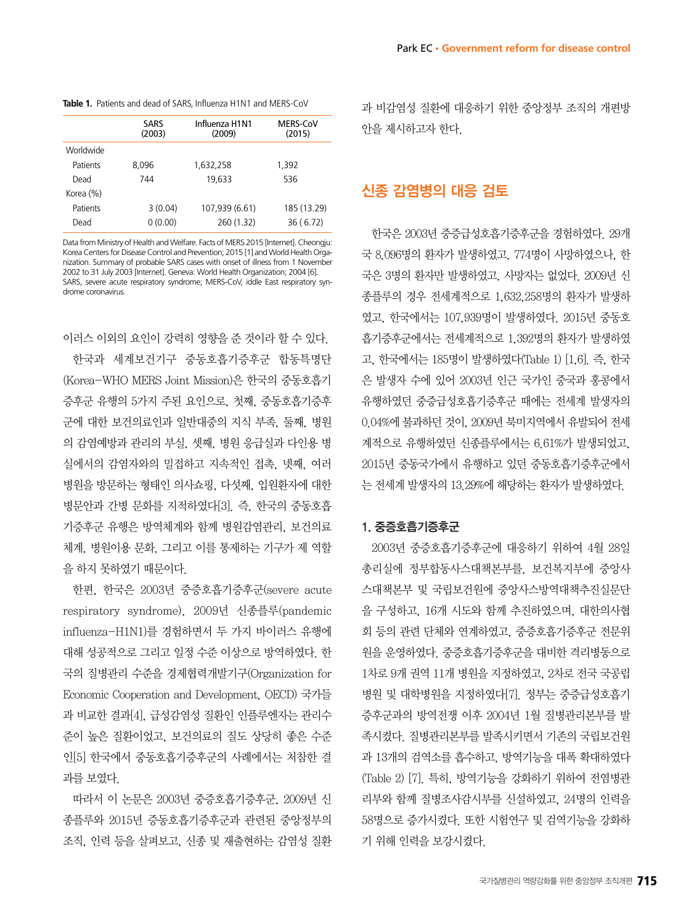| Park EC • Government reform for disease control |
|-------------------------------------------------|
|-------------------------------------------------|

| Table 1. Patients and dead of SARS, Influenza H1N1 and MERS-CoV |
|-----------------------------------------------------------------|
|                                                                 |

|           | SARS<br>(2003) | Influenza H1N1<br>(2009) | <b>MERS-CoV</b><br>(2015) |
|-----------|----------------|--------------------------|---------------------------|
| Worldwide |                |                          |                           |
| Patients  | 8.096          | 1,632,258                | 1,392                     |
| Dead      | 744            | 19.633                   | 536                       |
| Korea (%) |                |                          |                           |
| Patients  | 3(0.04)        | 107,939 (6.61)           | 185 (13.29)               |
| Dead      | 0(0.00)        | 260 (1.32)               | 36(6.72)                  |

Data from Ministry of Health and Welfare. Facts of MERS 2015 [Internet]. Cheongju: Korea Centers for Disease Control and Prevention; 2015 [1] and World Health Organization. Summary of probable SARS cases with onset of illness from 1 November 2002 to 31 July 2003 [Internet]. Geneva: World Health Organization; 2004 [6]. SARS, severe acute respiratory syndrome; MERS-CoV, iddle East respiratory syndrome coronavirus.

이러스 이외의 요인이 강력히 영향을 준 것이라 할 수 있다. 한국과 세계보건기구 중동호흡기증후군 합동특명단 (Korea-WHO MERS Joint Mission)은 한국의 중동호흡기 증후군 유행의 5가지 주된 요인으로, 첫째, 중동호흡기증후 군에 대한 보건의료인과 일반대중의 지식 부족, 둘째, 병원 의 감염예방과 관리의 부실, 셋째, 병원 응급실과 다인용 병 실에서의 감염자와의 밀접하고 지속적인 접촉, 넷째, 여러 병원을 방문하는 형태인 의사쇼핑, 다섯째, 입원환자에 대한 병문안과 간병 문화를 지적하였다[3]. 즉, 한국의 중동호흡 기증후군 유행은 방역체계와 함께 병원감염관리, 보건의료 체계, 병원이용 문화, 그리고 이를 통제하는 기구가 제 역할 을 하지 못하였기 때문이다.

한편, 한국은 2003년 중증호흡기증후군(severe acute respiratory syndrome), 2009년 신종플루(pandemic influenza-H1N1)를 경험하면서 두 가지 바이러스 유행에 대해 성공적으로 그리고 일정 수준 이상으로 방역하였다. 한 국의 질병관리 수준을 경제협력개발기구(Organization for Economic Cooperation and Development, OECD) 국가들 과 비교한 결과[4], 급성감염성 질환인 인플루엔자는 관리수 준이 높은 질환이었고, 보건의료의 질도 상당히 좋은 수준 인[5] 한국에서 중동호흡기증후군의 사례에서는 처참한 결 과를 보였다.

따라서 이 논문은 2003년 중증호흡기증후군, 2009년 신 종플루와 2015년 증동호흡기증후군과 관련된 중앙정부의 조직, 인력 등을 살펴보고, 신종 및 재출현하는 감염성 질환 과 비감염성 질환에 대응하기 위한 중앙정부 조직의 개편방 안을 제시하고자 한다.

## 신종 감염병의 대응 검토

한국은 2003년 중증급성호흡기증후군을 경험하였다. 29개 국 8,096명의 환자가 발생하였고, 774명이 사망하였으나, 한 국은 3명의 환자만 발생하였고, 사망자는 없었다. 2009년 신 종플루의 경우 전세계적으로 1,632,258명의 환자가 발생하 였고, 한국에서는 107,939명이 발생하였다. 2015년 중동호 흡기증후군에서는 전세계적으로 1,392명의 환자가 발생하였 고, 한국에서는 185명이 발생하였다(Table 1) [1,6]. 즉, 한국 은 발생자 수에 있어 2003년 인근 국가인 중국과 홍콩에서 유행하였던 중증급성호흡기증후군 때에는 전세계 발생자의 0.04%에 불과하던 것이, 2009년 북미지역에서 유발되어 전세 계적으로 유행하였던 신종플루에서는 6.61%가 발생되었고, 2015년 중동국가에서 유행하고 있던 중동호흡기증후군에서 는 전세계 발생자의 13.29%에 해당하는 환자가 발생하였다.

#### 1. 중증호흡기증후군

2003년 중증호흡기증후군에 대응하기 위하여 4월 28일 총리실에 정부합동사스대책본부를, 보건복지부에 중앙사 스대책본부 및 국립보건원에 중앙사스방역대책추진실문단 을 구성하고, 16개 시도와 함께 추진하였으며, 대한의사협 회 등의 관련 단체와 연계하였고, 중증호흡기증후군 전문위 원을 운영하였다. 중증호흡기증후군을 대비한 격리병동으로 1차로 9개 권역 11개 병원을 지정하였고, 2차로 전국 국공립 병원 및 대학병원을 지정하였다[7]. 정부는 중증급성호흡기 증후군과의 방역전쟁 이후 2004년 1월 질병관리본부를 발 족시켰다. 질병관리본부를 발족시키면서 기존의 국립보건원 과 13개의 검역소를 흡수하고, 방역기능을 대폭 확대하였다 (Table 2) [7]. 특히, 방역기능을 강화하기 위하여 전염병관 리부와 함께 질병조사감시부를 신설하였고, 24명의 인력을 58명으로 증가시켰다. 또한 시험연구 및 검역기능을 강화하 기 위해 인력을 보강시켰다.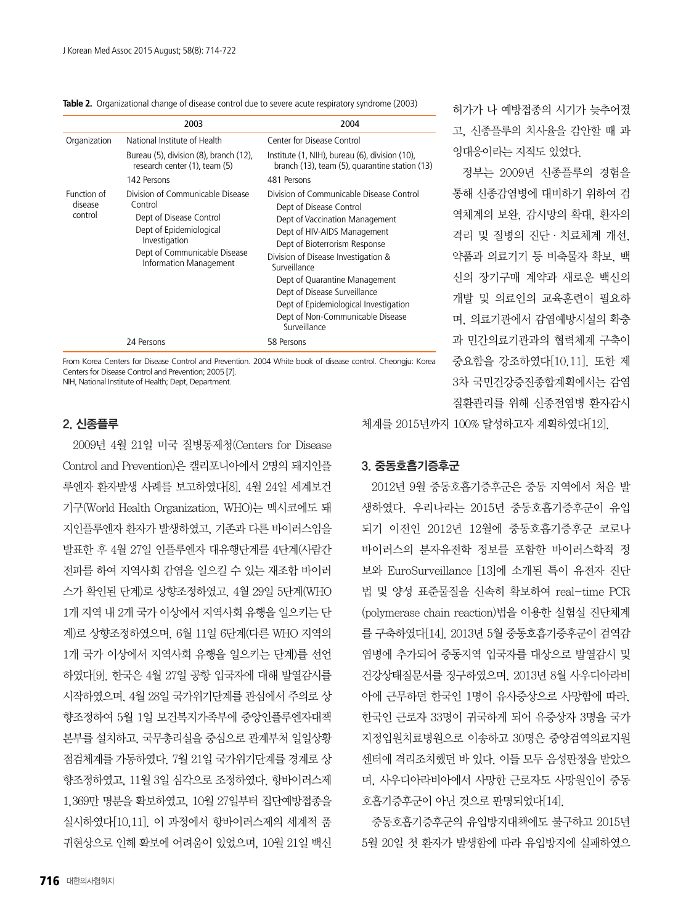|                                   | 2003                                                                                                                                                                         | 2004                                                                                                                                                                                                                                                                                                                                                                                       |
|-----------------------------------|------------------------------------------------------------------------------------------------------------------------------------------------------------------------------|--------------------------------------------------------------------------------------------------------------------------------------------------------------------------------------------------------------------------------------------------------------------------------------------------------------------------------------------------------------------------------------------|
| Organization                      | National Institute of Health                                                                                                                                                 | Center for Disease Control                                                                                                                                                                                                                                                                                                                                                                 |
|                                   | Bureau (5), division (8), branch (12),<br>research center (1), team (5)                                                                                                      | Institute (1, NIH), bureau (6), division (10),<br>branch (13), team (5), quarantine station (13)                                                                                                                                                                                                                                                                                           |
|                                   | 142 Persons                                                                                                                                                                  | 481 Persons                                                                                                                                                                                                                                                                                                                                                                                |
| Function of<br>disease<br>control | Division of Communicable Disease<br>Control<br>Dept of Disease Control<br>Dept of Epidemiological<br>Investigation<br>Dept of Communicable Disease<br>Information Management | Division of Communicable Disease Control<br>Dept of Disease Control<br>Dept of Vaccination Management<br>Dept of HIV-AIDS Management<br>Dept of Bioterrorism Response<br>Division of Disease Investigation &<br>Surveillance<br>Dept of Quarantine Management<br>Dept of Disease Surveillance<br>Dept of Epidemiological Investigation<br>Dept of Non-Communicable Disease<br>Surveillance |
|                                   | 24 Persons                                                                                                                                                                   | 58 Persons                                                                                                                                                                                                                                                                                                                                                                                 |

From Korea Centers for Disease Control and Prevention. 2004 White book of disease control. Cheongju: Korea Centers for Disease Control and Prevention; 2005 [7]. NIH, National Institute of Health; Dept, Department.

## 2. 신종플루

2009년 4월 21일 미국 질병통제청(Centers for Disease Control and Prevention)은 캘리포니아에서 2명의 돼지인플 루엔자 환자발생 사례를 보고하였다[8]. 4월 24일 세계보건 기구(World Health Organization, WHO)는 멕시코에도 돼 지인플루엔자 환자가 발생하였고, 기존과 다른 바이러스임을 발표한 후 4월 27일 인플루엔자 대유행단계를 4단계(사람간 전파를 하여 지역사회 감염을 일으킬 수 있는 재조합 바이러 스가 확인된 단계)로 상향조정하였고, 4월 29일 5단계(WHO 1개 지역 내 2개 국가 이상에서 지역사회 유행을 일으키는 단 계)로 상향조정하였으며, 6월 11일 6단계(다른 WHO 지역의 1개 국가 이상에서 지역사회 유행을 일으키는 단계)를 선언 하였다[9]. 한국은 4월 27일 공항 입국자에 대해 발열감시를 시작하였으며, 4월 28일 국가위기단계를 관심에서 주의로 상 향조정하여 5월 1일 보건복지가족부에 중앙인플루엔자대책 본부를 설치하고, 국무총리실을 중심으로 관계부처 일일상황 점검체계를 가동하였다. 7월 21일 국가위기단계를 경계로 상 향조정하였고, 11월 3일 심각으로 조정하였다. 항바이러스제 1,369만 명분을 확보하였고, 10월 27일부터 집단예방접종을 실시하였다[10,11]. 이 과정에서 항바이러스제의 세계적 품 귀현상으로 인해 확보에 어려움이 있었으며, 10월 21일 백신 체계를 2015년까지 100% 달성하고자 계획하였다[12].

## 3. 중동호흡기증후군

2012년 9월 중동호흡기증후군은 중동 지역에서 처음 발 생하였다. 우리나라는 2015년 중동호흡기증후군이 유입 되기 이전인 2012년 12월에 중동호흡기증후군 코로나 바이러스의 분자유전학 정보를 포함한 바이러스학적 정 보와 EuroSurveillance [13]에 소개된 특이 유전자 진단 법 및 양성 표준물질을 신속히 확보하여 real-time PCR (polymerase chain reaction)법을 이용한 실험실 진단체계 를 구축하였다[14]. 2013년 5월 중동호흡기증후군이 검역감 염병에 추가되어 중동지역 입국자를 대상으로 발열감시 및 건강상태질문서를 징구하였으며, 2013년 8월 사우디아라비 아에 근무하던 한국인 1명이 유사증상으로 사망함에 따라, 한국인 근로자 33명이 귀국하게 되어 유증상자 3명을 국가 지정입원치료병원으로 이송하고 30명은 중앙검역의료지원 센터에 격리조치했던 바 있다. 이들 모두 음성판정을 받았으 며, 사우디아라비아에서 사망한 근로자도 사망원인이 중동 호흡기증후군이 아닌 것으로 판명되었다[14].

중동호흡기증후군의 유입방지대책에도 불구하고 2015년 5월 20일 첫 환자가 발생함에 따라 유입방지에 실패하였으

허가가 나 예방접종의 시기가 늦추어졌 고, 신종플루의 치사율을 감안할 때 과 잉대응이라는 지적도 있었다.

정부는 2009년 신종플루의 경험을 통해 신종감염병에 대비하기 위하여 검 역체계의 보완, 감시망의 확대, 환자의 격리 및 질병의 진단·치료체계 개선, 약품과 의료기기 등 비축물자 확보, 백 신의 장기구매 계약과 새로운 백신의 개발 및 의료인의 교육훈련이 필요하 며, 의료기관에서 감염예방시설의 확충 과 민간의료기관과의 협력체계 구축이 중요함을 강조하였다[10,11]. 또한 제 3차 국민건강증진종합계획에서는 감염 질환관리를 위해 신종전염병 환자감시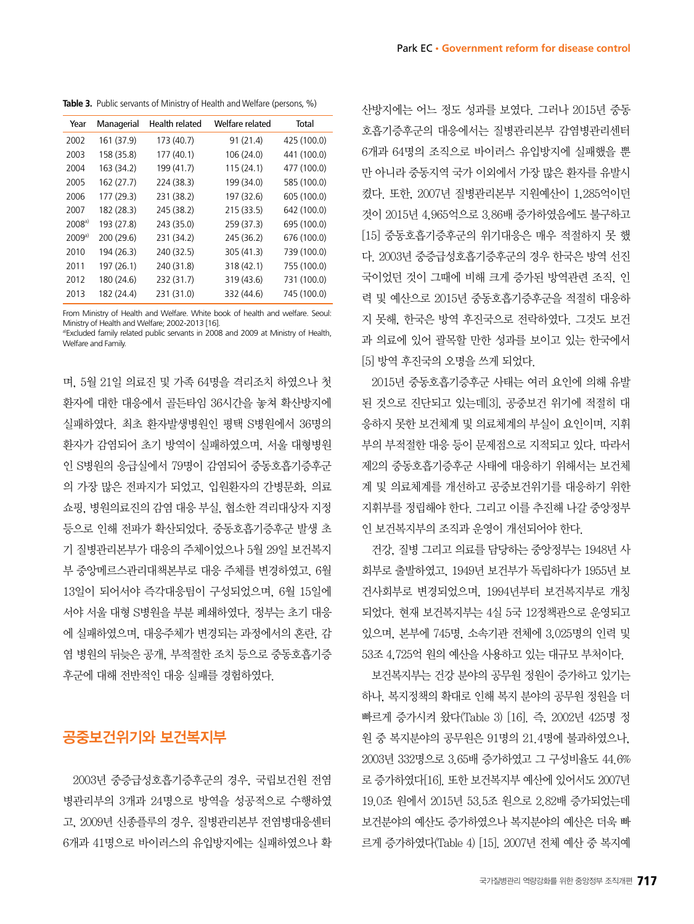**Table 3.** Public servants of Ministry of Health and Welfare (persons, %)

| Year   | Managerial | Health related | Welfare related | Total       |
|--------|------------|----------------|-----------------|-------------|
| 2002   | 161 (37.9) | 173 (40.7)     | 91 (21.4)       | 425 (100.0) |
| 2003   | 158 (35.8) | 177 (40.1)     | 106 (24.0)      | 441 (100.0) |
| 2004   | 163 (34.2) | 199 (41.7)     | 115 (24.1)      | 477 (100.0) |
| 2005   | 162 (27.7) | 224 (38.3)     | 199 (34.0)      | 585 (100.0) |
| 2006   | 177 (29.3) | 231 (38.2)     | 197 (32.6)      | 605 (100.0) |
| 2007   | 182 (28.3) | 245 (38.2)     | 215 (33.5)      | 642 (100.0) |
| 2008a  | 193 (27.8) | 243 (35.0)     | 259 (37.3)      | 695 (100.0) |
| 2009a) | 200 (29.6) | 231 (34.2)     | 245 (36.2)      | 676 (100.0) |
| 2010   | 194 (26.3) | 240 (32.5)     | 305 (41.3)      | 739 (100.0) |
| 2011   | 197 (26.1) | 240 (31.8)     | 318 (42.1)      | 755 (100.0) |
| 2012   | 180 (24.6) | 232 (31.7)     | 319 (43.6)      | 731 (100.0) |
| 2013   | 182 (24.4) | 231 (31.0)     | 332 (44.6)      | 745 (100.0) |

From Ministry of Health and Welfare. White book of health and welfare. Seoul: Ministry of Health and Welfare; 2002-2013 [16]. a)Excluded family related public servants in 2008 and 2009 at Ministry of Health, Welfare and Family.

며, 5월 21일 의료진 및 가족 64명을 격리조치 하였으나 첫 환자에 대한 대응에서 골든타임 36시간을 놓쳐 확산방지에 실패하였다. 최초 환자발생병원인 평택 S병원에서 36명의 환자가 감염되어 초기 방역이 실패하였으며, 서울 대형병원 인 S병원의 응급실에서 79명이 감염되어 중동호흡기증후군 의 가장 많은 전파지가 되었고, 입원환자의 간병문화, 의료 쇼핑, 병원의료진의 감염 대응 부실, 협소한 격리대상자 지정 등으로 인해 전파가 확산되었다. 중동호흡기증후군 발생 초 기 질병관리본부가 대응의 주체이었으나 5월 29일 보건복지 부 중앙메르스관리대책본부로 대응 주체를 변경하였고, 6월 13일이 되어서야 즉각대응팀이 구성되었으며, 6월 15일에 서야 서울 대형 S병원을 부분 폐쇄하였다. 정부는 초기 대응 에 실패하였으며, 대응주체가 변경되는 과정에서의 혼란, 감 염 병원의 뒤늦은 공개, 부적절한 조치 등으로 중동호흡기증 후군에 대해 전반적인 대응 실패를 경험하였다.

## 공중보건위기와 보건복지부

2003년 중증급성호흡기증후군의 경우, 국립보건원 전염 병관리부의 3개과 24명으로 방역을 성공적으로 수행하였 고, 2009년 신종플루의 경우, 질병관리본부 전염병대응센터 6개과 41명으로 바이러스의 유입방지에는 실패하였으나 확 산방지에는 어느 정도 성과를 보였다. 그러나 2015년 중동 호흡기증후군의 대응에서는 질병관리본부 감염병관리센터 6개과 64명의 조직으로 바이러스 유입방지에 실패했을 뿐 만 아니라 중동지역 국가 이외에서 가장 많은 환자를 유발시 켰다. 또한, 2007년 질병관리본부 지원예산이 1,285억이던 것이 2015년 4,965억으로 3.86배 증가하였음에도 불구하고 [15] 중동호흡기증후군의 위기대응은 매우 적절하지 못 했

다. 2003년 중증급성호흡기증후군의 경우 한국은 방역 선진 국이었던 것이 그때에 비해 크게 증가된 방역관련 조직, 인 력 및 예산으로 2015년 중동호흡기증후군을 적절히 대응하 지 못해, 한국은 방역 후진국으로 전락하였다. 그것도 보건 과 의료에 있어 괄목할 만한 성과를 보이고 있는 한국에서

2015년 중동호흡기증후군 사태는 여러 요인에 의해 유발 된 것으로 진단되고 있는데[3], 공중보건 위기에 적절히 대 응하지 못한 보건체계 및 의료체계의 부실이 요인이며, 지휘 부의 부적절한 대응 등이 문제점으로 지적되고 있다. 따라서 제2의 중동호흡기증후군 사태에 대응하기 위해서는 보건체 계 및 의료체계를 개선하고 공중보건위기를 대응하기 위한 지휘부를 정립해야 한다. 그리고 이를 추진해 나갈 중앙정부 인 보건복지부의 조직과 운영이 개선되어야 한다.

[5] 방역 후진국의 오명을 쓰게 되었다.

건강, 질병 그리고 의료를 담당하는 중앙정부는 1948년 사 회부로 출발하였고, 1949년 보건부가 독립하다가 1955년 보 건사회부로 변경되었으며, 1994년부터 보건복지부로 개칭 되었다. 현재 보건복지부는 4실 5국 12정책관으로 운영되고 있으며, 본부에 745명, 소속기관 전체에 3,025명의 인력 및 53조 4,725억 원의 예산을 사용하고 있는 대규모 부처이다.

보건복지부는 건강 분야의 공무원 정원이 증가하고 있기는 하나, 복지정책의 확대로 인해 복지 분야의 공무원 정원을 더 빠르게 증가시켜 왔다(Table 3) [16]. 즉, 2002년 425명 정 원 중 복지분야의 공무원은 91명의 21.4명에 불과하였으나, 2003년 332명으로 3.65배 증가하였고 그 구성비율도 44.6% 로 증가하였다[16]. 또한 보건복지부 예산에 있어서도 2007년 19.0조 원에서 2015년 53.5조 원으로 2.82배 증가되었는데 보건분야의 예산도 증가하였으나 복지분야의 예산은 더욱 빠 르게 증가하였다(Table 4) [15]. 2007년 전체 예산 중 복지예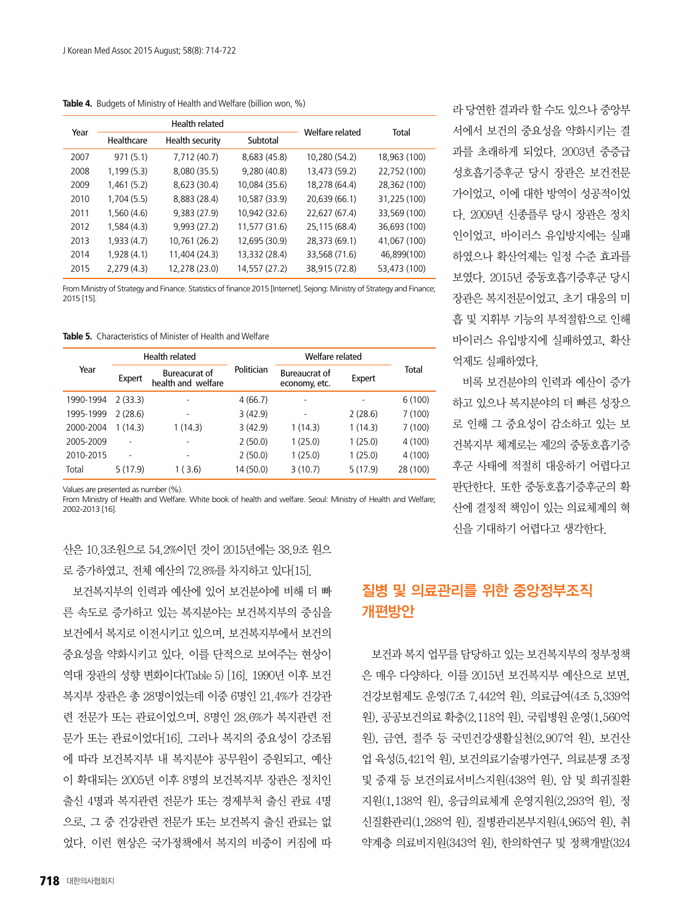**Table 4.** Budgets of Ministry of Health and Welfare (billion won, %)

| Year | Health related |                 |               | Welfare related |              |
|------|----------------|-----------------|---------------|-----------------|--------------|
|      | Healthcare     | Health security | Subtotal      |                 | Total        |
| 2007 | 971(5.1)       | 7,712 (40.7)    | 8,683 (45.8)  | 10,280 (54.2)   | 18,963 (100) |
| 2008 | 1,199(5.3)     | 8,080 (35.5)    | 9,280 (40.8)  | 13,473 (59.2)   | 22,752 (100) |
| 2009 | 1,461(5.2)     | 8,623 (30.4)    | 10,084 (35.6) | 18,278 (64.4)   | 28,362 (100) |
| 2010 | 1,704(5.5)     | 8,883 (28.4)    | 10,587 (33.9) | 20,639 (66.1)   | 31,225 (100) |
| 2011 | 1,560(4.6)     | 9,383 (27.9)    | 10,942 (32.6) | 22,627 (67.4)   | 33,569 (100) |
| 2012 | 1,584(4.3)     | 9,993 (27.2)    | 11,577 (31.6) | 25,115 (68.4)   | 36,693 (100) |
| 2013 | 1,933(4.7)     | 10,761 (26.2)   | 12,695 (30.9) | 28,373 (69.1)   | 41,067 (100) |
| 2014 | 1,928(4.1)     | 11,404 (24.3)   | 13,332 (28.4) | 33,568 (71.6)   | 46,899(100)  |
| 2015 | 2,279(4.3)     | 12,278 (23.0)   | 14,557 (27.2) | 38,915 (72.8)   | 53,473 (100) |

From Ministry of Strategy and Finance. Statistics of finance 2015 [Internet]. Sejong: Ministry of Strategy and Finance; 2015 [15].

**Table 5.** Characteristics of Minister of Health and Welfare

|           | Health related |                                            |            | Welfare related                |          |          |
|-----------|----------------|--------------------------------------------|------------|--------------------------------|----------|----------|
| Year      | Expert         | <b>Bureacurat of</b><br>health and welfare | Politician | Bureaucrat of<br>economy, etc. | Expert   | Total    |
| 1990-1994 | 2(33.3)        |                                            | 4(66.7)    | ۰                              |          | 6(100)   |
| 1995-1999 | 2(28.6)        | ۰                                          | 3(42.9)    | ٠                              | 2(28.6)  | 7(100)   |
| 2000-2004 | 1(14.3)        | 1(14.3)                                    | 3(42.9)    | 1(14.3)                        | 1 (14.3) | 7(100)   |
| 2005-2009 |                |                                            | 2(50.0)    | 1(25.0)                        | 1(25.0)  | 4(100)   |
| 2010-2015 |                | ۰                                          | 2(50.0)    | 1(25.0)                        | 1(25.0)  | 4(100)   |
| Total     | 5(17.9)        | 1 ( 3.6)                                   | 14 (50.0)  | 3(10.7)                        | 5(17.9)  | 28 (100) |

Values are presented as number (%).

From Ministry of Health and Welfare. White book of health and welfare. Seoul: Ministry of Health and Welfare; 2002-2013 [16].

산은 10.3조원으로 54.2%이던 것이 2015년에는 38.9조 원으 로 증가하였고, 전체 예산의 72.8%를 차지하고 있다[15].

보건복지부의 인력과 예산에 있어 보건분야에 비해 더 빠 른 속도로 증가하고 있는 복지분야는 보건복지부의 중심을 보건에서 복지로 이전시키고 있으며, 보건복지부에서 보건의 중요성을 약화시키고 있다. 이를 단적으로 보여주는 현상이 역대 장관의 성향 변화이다(Table 5) [16]. 1990년 이후 보건 복지부 장관은 총 28명이었는데 이중 6명인 21.4%가 건강관 련 전문가 또는 관료이었으며, 8명인 28.6%가 복지관련 전 문가 또는 관료이었다[16]. 그러나 복지의 중요성이 강조됨 에 따라 보건복지부 내 복지분야 공무원이 증원되고, 예산 이 확대되는 2005년 이후 8명의 보건복지부 장관은 정치인 출신 4명과 복지관련 전문가 또는 경제부처 출신 관료 4명 으로, 그 중 건강관련 전문가 또는 보건복지 출신 관료는 없 었다. 이런 현상은 국가정책에서 복지의 비중이 커짐에 따

라 당연한 결과라 할 수도 있으나 중앙부 서에서 보건의 중요성을 약화시키는 결 과를 초래하게 되었다. 2003년 중증급 성호흡기증후군 당시 장관은 보건전문 가이었고, 이에 대한 방역이 성공적이었 다. 2009년 신종플루 당시 장관은 정치 인이었고, 바이러스 유입방지에는 실패 하였으나 확산억제는 일정 수준 효과를 보였다. 2015년 중동호흡기증후군 당시 장관은 복지전문이었고, 초기 대응의 미 흡 및 지휘부 기능의 부적절함으로 인해 바이러스 유입방지에 실패하였고, 확산 억제도 실패하였다.

비록 보건분야의 인력과 예산이 증가 하고 있으나 복지분야의 더 빠른 성장으 로 인해 그 중요성이 감소하고 있는 보 건복지부 체계로는 제2의 중동호흡기증 후군 사태에 적절히 대응하기 어렵다고 판단한다. 또한 중동호흡기증후군의 확 산에 결정적 책임이 있는 의료체계의 혁 신을 기대하기 어렵다고 생각한다.

## 질병 및 의료관리를 위한 중앙정부조직 개편방안

보건과 복지 업무를 담당하고 있는 보건복지부의 정부정책 은 매우 다양하다. 이를 2015년 보건복지부 예산으로 보면, 건강보험제도 운영(7조 7,442억 원), 의료급여(4조 5,339억 원), 공공보건의료 확충(2,118억 원), 국립병원 운영(1,560억 원), 금연, 절주 등 국민건강생활실천(2,907억 원), 보건산 업 육성(5,421억 원), 보건의료기술평가연구, 의료분쟁 조정 및 중재 등 보건의료서비스지원(438억 원), 암 및 희귀질환 지원(1,138억 원), 응급의료체계 운영지원(2,293억 원), 정 신질환관리(1,288억 원), 질병관리본부지원(4,965억 원), 취 약계층 의료비지원(343억 원), 한의학연구 및 정책개발(324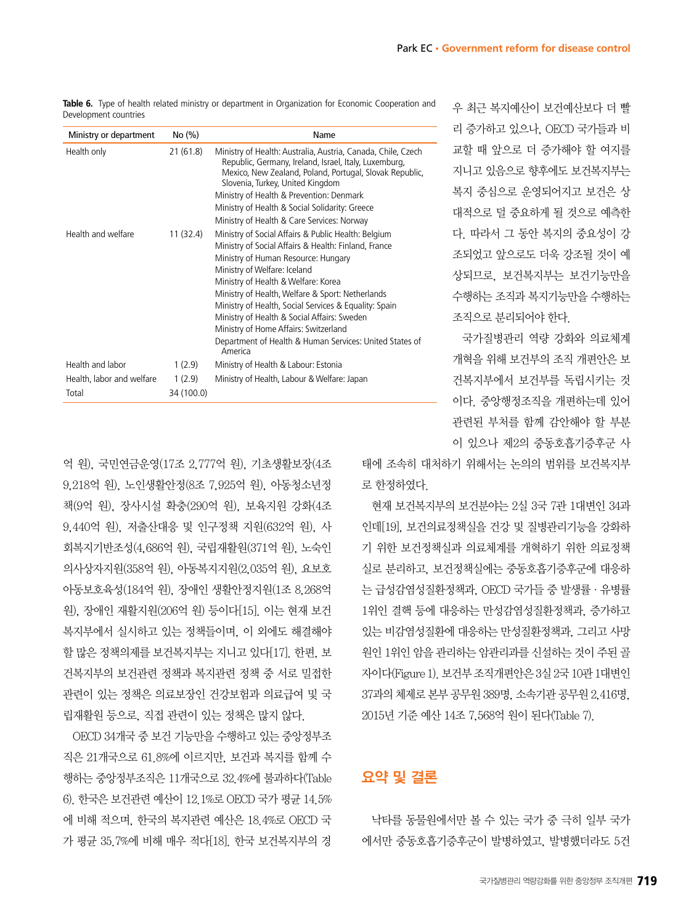| Ministry or department             | No (%)               | Name                                                                                                                                                                                                                                                                                                                                                                                                                                                                                                 |
|------------------------------------|----------------------|------------------------------------------------------------------------------------------------------------------------------------------------------------------------------------------------------------------------------------------------------------------------------------------------------------------------------------------------------------------------------------------------------------------------------------------------------------------------------------------------------|
| Health only                        | 21 (61.8)            | Ministry of Health: Australia, Austria, Canada, Chile, Czech<br>Republic, Germany, Ireland, Israel, Italy, Luxemburg,<br>Mexico, New Zealand, Poland, Portugal, Slovak Republic,<br>Slovenia, Turkey, United Kingdom<br>Ministry of Health & Prevention: Denmark<br>Ministry of Health & Social Solidarity: Greece<br>Ministry of Health & Care Services: Norway                                                                                                                                     |
| Health and welfare                 | 11 (32.4)            | Ministry of Social Affairs & Public Health: Belgium<br>Ministry of Social Affairs & Health: Finland, France<br>Ministry of Human Resource: Hungary<br>Ministry of Welfare: Iceland<br>Ministry of Health & Welfare: Korea<br>Ministry of Health, Welfare & Sport: Netherlands<br>Ministry of Health, Social Services & Equality: Spain<br>Ministry of Health & Social Affairs: Sweden<br>Ministry of Home Affairs: Switzerland<br>Department of Health & Human Services: United States of<br>America |
| Health and labor                   | 1(2.9)               | Ministry of Health & Labour: Estonia                                                                                                                                                                                                                                                                                                                                                                                                                                                                 |
| Health, labor and welfare<br>Total | 1(2.9)<br>34 (100.0) | Ministry of Health, Labour & Welfare: Japan                                                                                                                                                                                                                                                                                                                                                                                                                                                          |

**Table 6.** Type of health related ministry or department in Organization for Economic Cooperation and Development countries

억 원), 국민연금운영(17조 2,777억 원), 기초생활보장(4조 9,218억 원), 노인생활안정(8조 7,925억 원), 아동청소년정 책(9억 원), 장사시설 확충(290억 원), 보육지원 강화(4조 9,440억 원), 저출산대응 및 인구정책 지원(632억 원), 사 회복지기반조성(4,686억 원), 국립재활원(371억 원), 노숙인 의사상자지원(358억 원), 아동복지지원(2,035억 원), 요보호 아동보호육성(184억 원), 장애인 생활안정지원(1조 8,268억 원), 장애인 재활지원(206억 원) 등이다[15]. 이는 현재 보건 복지부에서 실시하고 있는 정책들이며, 이 외에도 해결해야 할 많은 정책의제를 보건복지부는 지니고 있다[17]. 한편, 보 건복지부의 보건관련 정책과 복지관련 정책 중 서로 밀접한 관련이 있는 정책은 의료보장인 건강보험과 의료급여 및 국 립재활원 등으로, 직접 관련이 있는 정책은 많지 않다.

OECD 34개국 중 보건 기능만을 수행하고 있는 중앙정부조 직은 21개국으로 61.8%에 이르지만, 보건과 복지를 함께 수 행하는 중앙정부조직은 11개국으로 32.4%에 불과하다(Table 6). 한국은 보건관련 예산이 12.1%로 OECD 국가 평균 14.5% 에 비해 적으며, 한국의 복지관련 예산은 18.4%로 OECD 국 가 평균 35.7%에 비해 매우 적다[18]. 한국 보건복지부의 경

우 최근 복지예산이 보건예산보다 더 빨 리 증가하고 있으나, OECD 국가들과 비 교할 때 앞으로 더 증가해야 할 여지를 지니고 있음으로 향후에도 보건복지부는 복지 중심으로 운영되어지고 보건은 상 대적으로 덜 중요하게 될 것으로 예측한 다. 따라서 그 동안 복지의 중요성이 강 조되었고 앞으로도 더욱 강조될 것이 예 상되므로, 보건복지부는 보건기능만을 수행하는 조직과 복지기능만을 수행하는 조직으로 분리되어야 한다.

국가질병관리 역량 강화와 의료체계 개혁을 위해 보건부의 조직 개편안은 보 건복지부에서 보건부를 독립시키는 것 이다. 중앙행정조직을 개편하는데 있어 관련된 부처를 함께 감안해야 할 부분 이 있으나 제2의 중동호흡기증후군 사

태에 조속히 대처하기 위해서는 논의의 범위를 보건복지부 로 한정하였다.

현재 보건복지부의 보건분야는 2실 3국 7관 1대변인 34과 인데[19], 보건의료정책실을 건강 및 질병관리기능을 강화하 기 위한 보건정책실과 의료체계를 개혁하기 위한 의료정책 실로 분리하고, 보건정책실에는 중동호흡기증후군에 대응하 는 급성감염성질환정책과, OECD 국가들 중 발생률·유병률 1위인 결핵 등에 대응하는 만성감염성질환정책과, 증가하고 있는 비감염성질환에 대응하는 만성질환정책과, 그리고 사망 원인 1위인 암을 관리하는 암관리과를 신설하는 것이 주된 골 자이다(Figure 1). 보건부 조직개편안은 3실 2국 10관 1대변인 37과의 체제로 본부 공무원 389명, 소속기관 공무원 2,416명, 2015년 기준 예산 14조 7,568억 원이 된다(Table 7).

## 요약 및 결론

낙타를 동물원에서만 볼 수 있는 국가 중 극히 일부 국가 에서만 중동호흡기증후군이 발병하였고, 발병했더라도 5건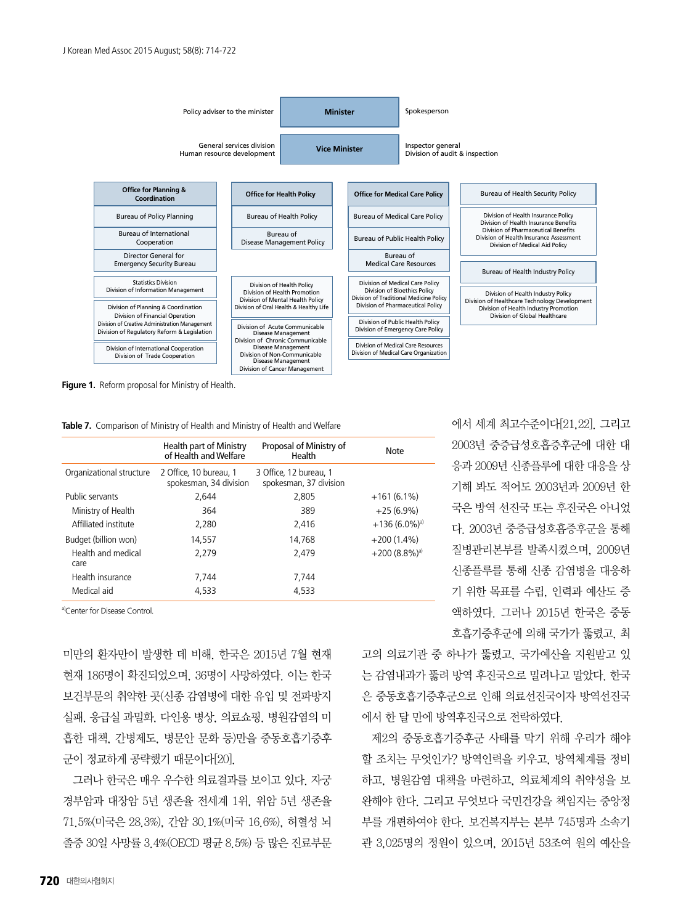

**Figure 1.** Reform proposal for Ministry of Health.

**Table 7.** Comparison of Ministry of Health and Ministry of Health and Welfare

|                            | Health part of Ministry<br>of Health and Welfare | Proposal of Ministry of<br>Health                | Note                        |
|----------------------------|--------------------------------------------------|--------------------------------------------------|-----------------------------|
| Organizational structure   | 2 Office, 10 bureau, 1<br>spokesman, 34 division | 3 Office, 12 bureau, 1<br>spokesman, 37 division |                             |
| Public servants            | 2.644                                            | 2.805                                            | $+161(6.1\%)$               |
| Ministry of Health         | 364                                              | 389                                              | $+25(6.9\%)$                |
| Affiliated institute       | 2,280                                            | 2.416                                            | $+136(6.0\%)$ <sup>a)</sup> |
| Budget (billion won)       | 14.557                                           | 14.768                                           | $+200(1.4\%)$               |
| Health and medical<br>care | 2,279                                            | 2.479                                            | $+200(8.8\%)$ <sup>a)</sup> |
| Health insurance           | 7.744                                            | 7.744                                            |                             |
| Medical aid                | 4.533                                            | 4.533                                            |                             |

a)Center for Disease Control.

미만의 환자만이 발생한 데 비해, 한국은 2015년 7월 현재 현재 186명이 확진되었으며, 36명이 사망하였다. 이는 한국 보건부문의 취약한 곳(신종 감염병에 대한 유입 및 전파방지 실패, 응급실 과밀화, 다인용 병상, 의료쇼핑, 병원감염의 미 흡한 대책, 간병제도, 병문안 문화 등)만을 중동호흡기증후 군이 정교하게 공략했기 때문이다[20].

그러나 한국은 매우 우수한 의료결과를 보이고 있다. 자궁 경부암과 대장암 5년 생존율 전세계 1위, 위암 5년 생존율 71.5%(미국은 28.3%), 간암 30.1%(미국 16.6%), 허혈성 뇌 졸중 30일 사망률 3.4%(OECD 평균 8.5%) 등 많은 진료부문 에서 세계 최고수준이다[21,22]. 그리고 2003년 중증급성호흡증후군에 대한 대 응과 2009년 신종플루에 대한 대응을 상 기해 봐도 적어도 2003년과 2009년 한 국은 방역 선진국 또는 후진국은 아니었 다. 2003년 중증급성호흡증후군을 통해 질병관리본부를 발족시켰으며, 2009년 신종플루를 통해 신종 감염병을 대응하 기 위한 목표를 수립, 인력과 예산도 증 액하였다. 그러나 2015년 한국은 중동 호흡기증후군에 의해 국가가 뚫렸고, 최

고의 의료기관 중 하나가 뚫렸고, 국가예산을 지원받고 있 는 감염내과가 뚫려 방역 후진국으로 밀려나고 말았다. 한국 은 중동호흡기증후군으로 인해 의료선진국이자 방역선진국 에서 한 달 만에 방역후진국으로 전락하였다.

제2의 중동호흡기증후군 사태를 막기 위해 우리가 해야 할 조치는 무엇인가? 방역인력을 키우고, 방역체계를 정비 하고, 병원감염 대책을 마련하고, 의료체계의 취약성을 보 완해야 한다. 그리고 무엇보다 국민건강을 책임지는 중앙정 부를 개편하여야 한다. 보건복지부는 본부 745명과 소속기 관 3,025명의 정원이 있으며, 2015년 53조여 원의 예산을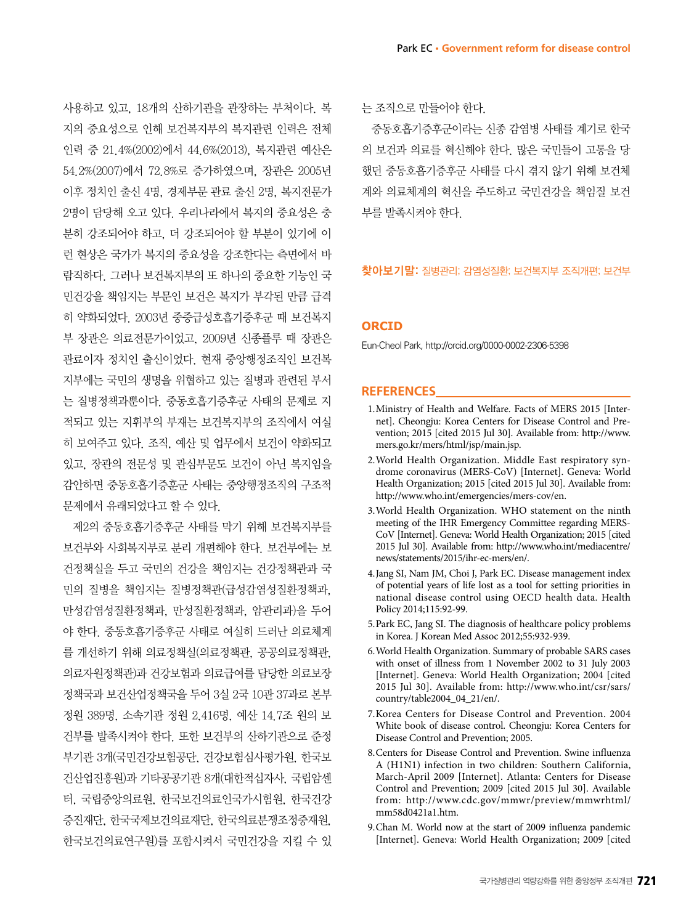사용하고 있고, 18개의 산하기관을 관장하는 부처이다. 복 지의 중요성으로 인해 보건복지부의 복지관련 인력은 전체 인력 중 21.4%(2002)에서 44.6%(2013), 복지관련 예산은 54.2%(2007)에서 72.8%로 증가하였으며, 장관은 2005년 이후 정치인 출신 4명, 경제부문 관료 출신 2명, 복지전문가 2명이 담당해 오고 있다. 우리나라에서 복지의 중요성은 충 분히 강조되어야 하고, 더 강조되어야 할 부분이 있기에 이 런 현상은 국가가 복지의 중요성을 강조한다는 측면에서 바 람직하다. 그러나 보건복지부의 또 하나의 중요한 기능인 국 민건강을 책임지는 부문인 보건은 복지가 부각된 만큼 급격 히 약화되었다. 2003년 중증급성호흡기증후군 때 보건복지 부 장관은 의료전문가이었고, 2009년 신종플루 때 장관은 관료이자 정치인 출신이었다. 현재 중앙행정조직인 보건복 지부에는 국민의 생명을 위협하고 있는 질병과 관련된 부서 는 질병정책과뿐이다. 중동호흡기증후군 사태의 문제로 지 적되고 있는 지휘부의 부재는 보건복지부의 조직에서 여실 히 보여주고 있다. 조직, 예산 및 업무에서 보건이 약화되고 있고, 장관의 전문성 및 관심부문도 보건이 아닌 복지임을 감안하면 중동호흡기증훈군 사태는 중앙행정조직의 구조적 문제에서 유래되었다고 할 수 있다.

제2의 중동호흡기증후군 사태를 막기 위해 보건복지부를 보건부와 사회복지부로 분리 개편해야 한다. 보건부에는 보 건정책실을 두고 국민의 건강을 책임지는 건강정책관과 국 민의 질병을 책임지는 질병정책관(급성감염성질환정책과, 만성감염성질환정책과, 만성질환정책과, 암관리과)을 두어 야 한다. 중동호흡기증후군 사태로 여실히 드러난 의료체계 를 개선하기 위해 의료정책실(의료정책관, 공공의료정책관, 의료자원정책관)과 건강보험과 의료급여를 담당한 의료보장 정책국과 보건산업정책국을 두어 3실 2국 10관 37과로 본부 정원 389명, 소속기관 정원 2,416명, 예산 14.7조 원의 보 건부를 발족시켜야 한다. 또한 보건부의 산하기관으로 준정 부기관 3개(국민건강보험공단, 건강보험심사평가원, 한국보 건산업진흥원)과 기타공공기관 8개(대한적십자사, 국립암센 터, 국립중앙의료원, 한국보건의료인국가시험원, 한국건강 증진재단, 한국국제보건의료재단, 한국의료분쟁조정중재원, 한국보건의료연구원)를 포함시켜서 국민건강을 지킬 수 있 는 조직으로 만들어야 한다.

중동호흡기증후군이라는 신종 감염병 사태를 계기로 한국 의 보건과 의료를 혁신해야 한다. 많은 국민들이 고통을 당 했던 중동호흡기증후군 사태를 다시 겪지 않기 위해 보건체 계와 의료체계의 혁신을 주도하고 국민건강을 책임질 보건 부를 발족시켜야 한다.

#### 찾아보기말: 질병관리; 감염성질환; 보건복지부 조직개편; 보건부

#### **ORCID**

Eun-Cheol Park, http://orcid.org/0000-0002-2306-5398

#### **REFERENCES**

- 1. Ministry of Health and Welfare. Facts of MERS 2015 [Internet]. Cheongju: Korea Centers for Disease Control and Prevention; 2015 [cited 2015 Jul 30]. Available from: http://www. mers.go.kr/mers/html/jsp/main.jsp.
- 2. World Health Organization. Middle East respiratory syndrome coronavirus (MERS-CoV) [Internet]. Geneva: World Health Organization; 2015 [cited 2015 Jul 30]. Available from: http://www.who.int/emergencies/mers-cov/en.
- 3. World Health Organization. WHO statement on the ninth meeting of the IHR Emergency Committee regarding MERS-CoV [Internet]. Geneva: World Health Organization; 2015 [cited 2015 Jul 30]. Available from: http://www.who.int/mediacentre/ news/statements/2015/ihr-ec-mers/en/.
- 4. Jang SI, Nam JM, Choi J, Park EC. Disease management index of potential years of life lost as a tool for setting priorities in national disease control using OECD health data. Health Policy 2014;115:92-99.
- 5. Park EC, Jang SI. The diagnosis of healthcare policy problems in Korea. J Korean Med Assoc 2012;55:932-939.
- 6. World Health Organization. Summary of probable SARS cases with onset of illness from 1 November 2002 to 31 July 2003 [Internet]. Geneva: World Health Organization; 2004 [cited 2015 Jul 30]. Available from: http://www.who.int/csr/sars/ country/table2004\_04\_21/en/.
- 7. Korea Centers for Disease Control and Prevention. 2004 White book of disease control. Cheongju: Korea Centers for Disease Control and Prevention; 2005.
- 8. Centers for Disease Control and Prevention. Swine influenza A (H1N1) infection in two children: Southern California, March-April 2009 [Internet]. Atlanta: Centers for Disease Control and Prevention; 2009 [cited 2015 Jul 30]. Available from: http://www.cdc.gov/mmwr/preview/mmwrhtml/ mm58d0421a1.htm.
- 9. Chan M. World now at the start of 2009 influenza pandemic [Internet]. Geneva: World Health Organization; 2009 [cited